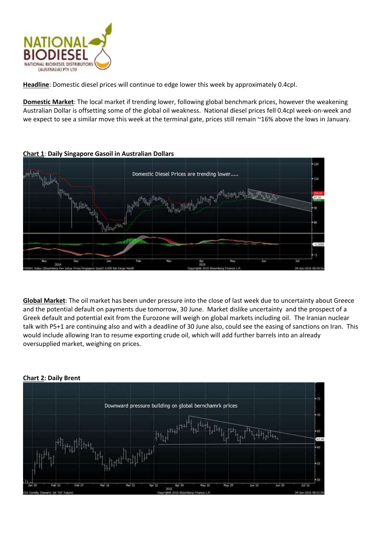

**Headline**: Domestic diesel prices will continue to edge lower this week by approximately 0.4cpl.

**Domestic Market**: The local market if trending lower, following global benchmark prices, however the weakening Australian Dollar is offsetting some of the global oil weakness. National diesel prices fell 0.4cpl week-on-week and we expect to see a similar move this week at the terminal gate, prices still remain ~16% above the lows in January.



**Chart 1**: **Daily Singapore Gasoil in Australian Dollars**

**Global Market**: The oil market has been under pressure into the close of last week due to uncertainty about Greece and the potential default on payments due tomorrow, 30 June. Market dislike uncertainty and the prospect of a Greek default and potential exit from the Eurozone will weigh on global markets including oil. The Iranian nuclear talk with P5+1 are continuing also and with a deadline of 30 June also, could see the easing of sanctions on Iran. This would include allowing Iran to resume exporting crude oil, which will add further barrels into an already oversupplied market, weighing on prices.